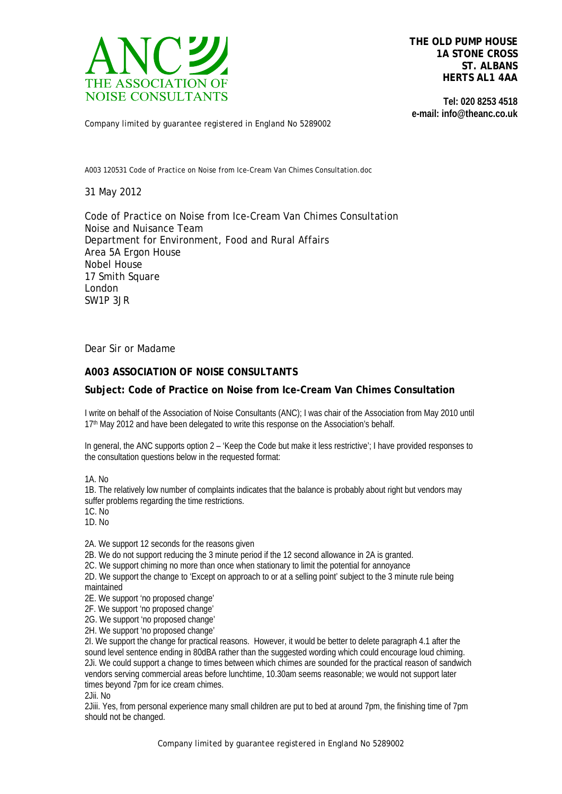

**THE OLD PUMP HOUSE 1A STONE CROSS ST. ALBANS HERTS AL1 4AA**

**Tel: 020 8253 4518 e-mail: info@theanc.co.uk**

Company limited by guarantee registered in England No 5289002

A003 120531 Code of Practice on Noise from Ice-Cream Van Chimes Consultation.doc

31 May 2012

Code of Practice on Noise from Ice-Cream Van Chimes Consultation Noise and Nuisance Team Department for Environment, Food and Rural Affairs Area 5A Ergon House Nobel House 17 Smith Square London SW1P 3JR

Dear Sir or Madame

## **A003 ASSOCIATION OF NOISE CONSULTANTS**

## **Subject: Code of Practice on Noise from Ice-Cream Van Chimes Consultation**

I write on behalf of the Association of Noise Consultants (ANC); I was chair of the Association from May 2010 until 17<sup>th</sup> May 2012 and have been delegated to write this response on the Association's behalf.

In general, the ANC supports option 2 – 'Keep the Code but make it less restrictive'; I have provided responses to the consultation questions below in the requested format:

1A. No

1B. The relatively low number of complaints indicates that the balance is probably about right but vendors may suffer problems regarding the time restrictions.

1C. No

1D. No

2A. We support 12 seconds for the reasons given

2B. We do not support reducing the 3 minute period if the 12 second allowance in 2A is granted.

2C. We support chiming no more than once when stationary to limit the potential for annoyance

2D. We support the change to 'Except on approach to or at a selling point' subject to the 3 minute rule being maintained

2E. We support 'no proposed change'

2F. We support 'no proposed change'

2G. We support 'no proposed change'

2H. We support 'no proposed change'

2I. We support the change for practical reasons. However, it would be better to delete paragraph 4.1 after the sound level sentence ending in 80dBA rather than the suggested wording which could encourage loud chiming. 2Ji. We could support a change to times between which chimes are sounded for the practical reason of sandwich vendors serving commercial areas before lunchtime, 10.30am seems reasonable; we would not support later times beyond 7pm for ice cream chimes.

2Jii. No

2Jiii. Yes, from personal experience many small children are put to bed at around 7pm, the finishing time of 7pm should not be changed.